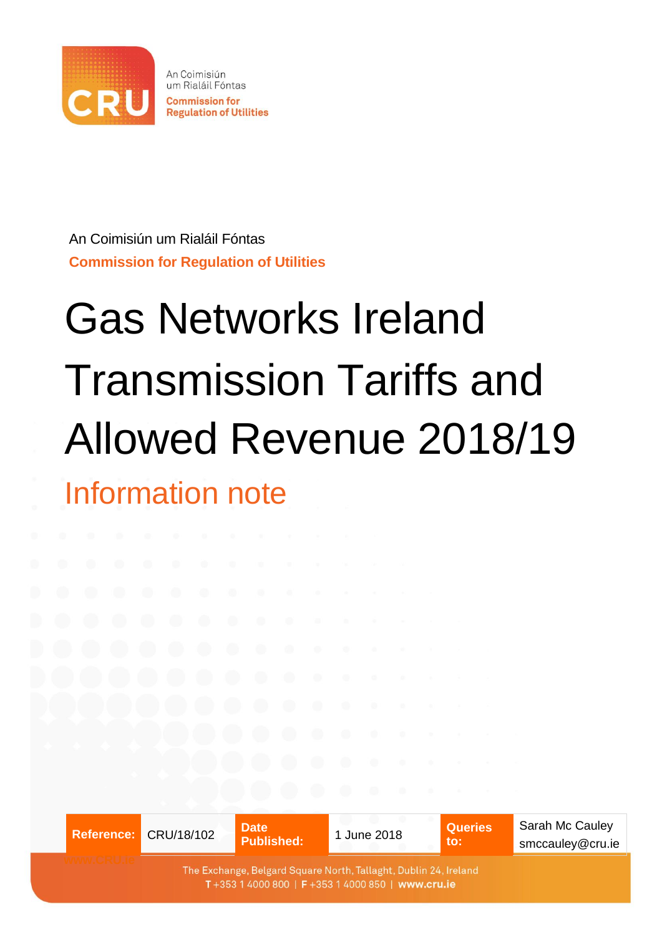

An Coimisiún um Rialáil Fóntas **Commission for Regulation of Utilities** 

An Coimisiún um Rialáil Fóntas **Commission for Regulation of Utilities**

# Gas Networks Ireland Transmission Tariffs and Allowed Revenue 2018/19 Information note

|  | Reference: CRU/18/102 | <b>Date</b><br><b>Published:</b>                                                                                     | 1 June 2018 | <b>Queries</b><br>to: | Sarah Mc Cauley<br>smccauley@cru.ie |
|--|-----------------------|----------------------------------------------------------------------------------------------------------------------|-------------|-----------------------|-------------------------------------|
|  |                       | The Exchange, Belgard Square North, Tallaght, Dublin 24, Ireland<br>T+353 1 4000 800   F+353 1 4000 850   www.cru.ie |             |                       |                                     |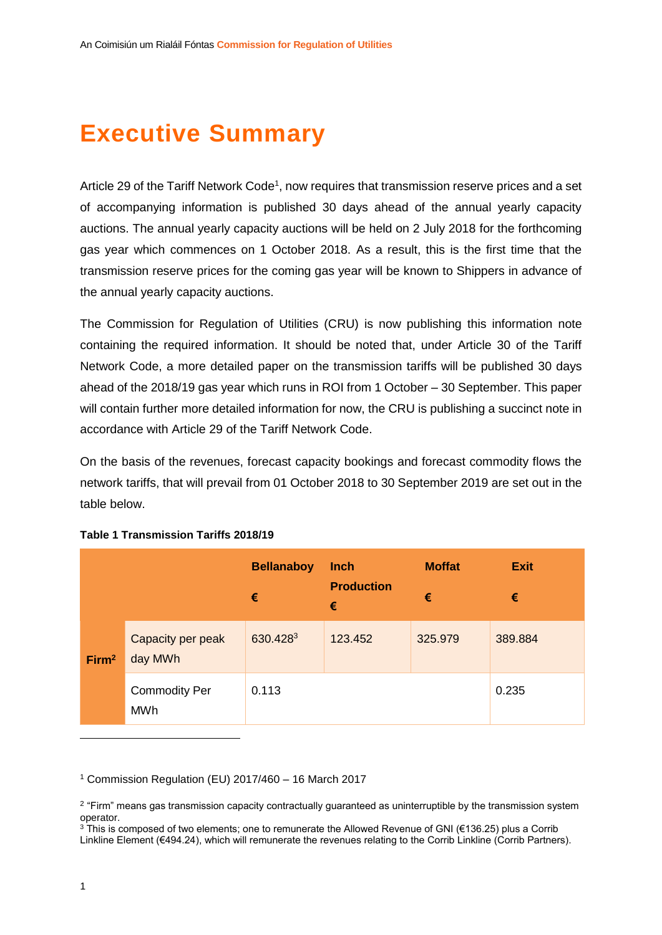# **Executive Summary**

Article 29 of the Tariff Network Code<sup>1</sup>, now requires that transmission reserve prices and a set of accompanying information is published 30 days ahead of the annual yearly capacity auctions. The annual yearly capacity auctions will be held on 2 July 2018 for the forthcoming gas year which commences on 1 October 2018. As a result, this is the first time that the transmission reserve prices for the coming gas year will be known to Shippers in advance of the annual yearly capacity auctions.

The Commission for Regulation of Utilities (CRU) is now publishing this information note containing the required information. It should be noted that, under Article 30 of the Tariff Network Code, a more detailed paper on the transmission tariffs will be published 30 days ahead of the 2018/19 gas year which runs in ROI from 1 October – 30 September. This paper will contain further more detailed information for now, the CRU is publishing a succinct note in accordance with Article 29 of the Tariff Network Code.

On the basis of the revenues, forecast capacity bookings and forecast commodity flows the network tariffs, that will prevail from 01 October 2018 to 30 September 2019 are set out in the table below.

|                   |                                    | <b>Bellanaboy</b><br>€ | <b>Inch</b><br><b>Production</b><br>€ | <b>Moffat</b><br>€ | <b>Exit</b><br>€ |
|-------------------|------------------------------------|------------------------|---------------------------------------|--------------------|------------------|
| Firm <sup>2</sup> | Capacity per peak<br>day MWh       | 630.4283               | 123.452                               | 325.979            | 389.884          |
|                   | <b>Commodity Per</b><br><b>MWh</b> | 0.113                  |                                       |                    | 0.235            |

#### **Table 1 Transmission Tariffs 2018/19**

<sup>1</sup> Commission Regulation (EU) 2017/460 – 16 March 2017

1

<sup>&</sup>lt;sup>2</sup> "Firm" means gas transmission capacity contractually guaranteed as uninterruptible by the transmission system operator.

<sup>3</sup> This is composed of two elements; one to remunerate the Allowed Revenue of GNI (€136.25) plus a Corrib Linkline Element (€494.24), which will remunerate the revenues relating to the Corrib Linkline (Corrib Partners).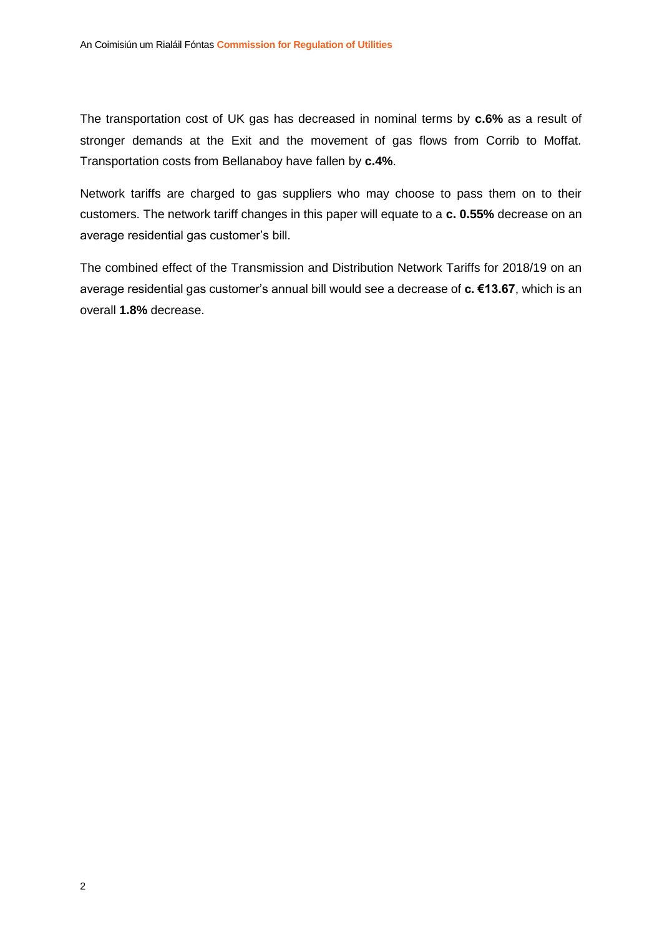The transportation cost of UK gas has decreased in nominal terms by **c.6%** as a result of stronger demands at the Exit and the movement of gas flows from Corrib to Moffat. Transportation costs from Bellanaboy have fallen by **c.4%**.

Network tariffs are charged to gas suppliers who may choose to pass them on to their customers. The network tariff changes in this paper will equate to a **c. 0.55%** decrease on an average residential gas customer's bill.

The combined effect of the Transmission and Distribution Network Tariffs for 2018/19 on an average residential gas customer's annual bill would see a decrease of **c. €13.67**, which is an overall **1.8%** decrease.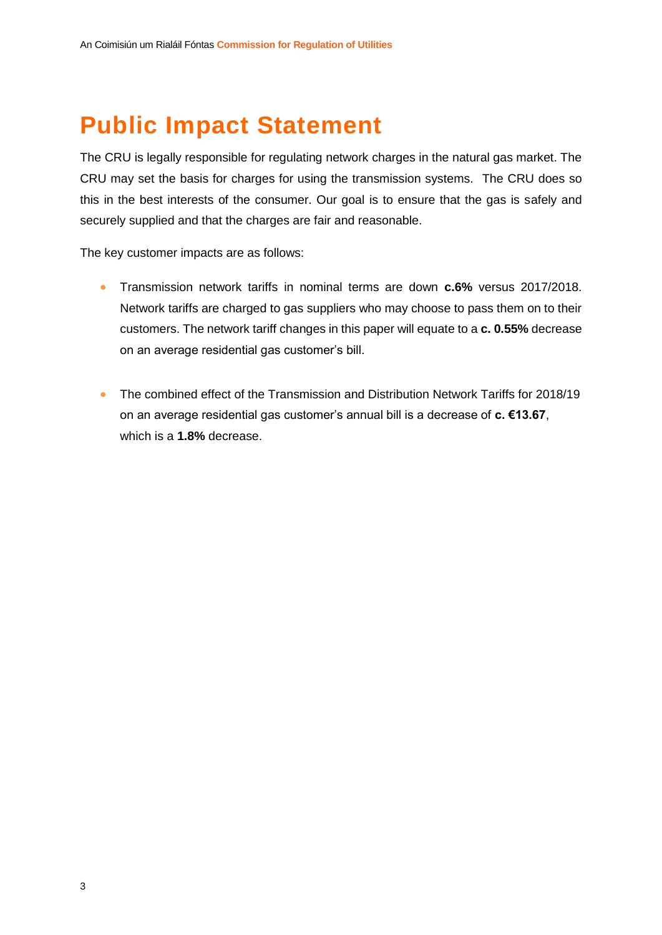# **Public Impact Statement**

The CRU is legally responsible for regulating network charges in the natural gas market. The CRU may set the basis for charges for using the transmission systems. The CRU does so this in the best interests of the consumer. Our goal is to ensure that the gas is safely and securely supplied and that the charges are fair and reasonable.

The key customer impacts are as follows:

- Transmission network tariffs in nominal terms are down **c.6%** versus 2017/2018. Network tariffs are charged to gas suppliers who may choose to pass them on to their customers. The network tariff changes in this paper will equate to a **c. 0.55%** decrease on an average residential gas customer's bill.
- The combined effect of the Transmission and Distribution Network Tariffs for 2018/19 on an average residential gas customer's annual bill is a decrease of **c. €13.67**, which is a **1.8%** decrease.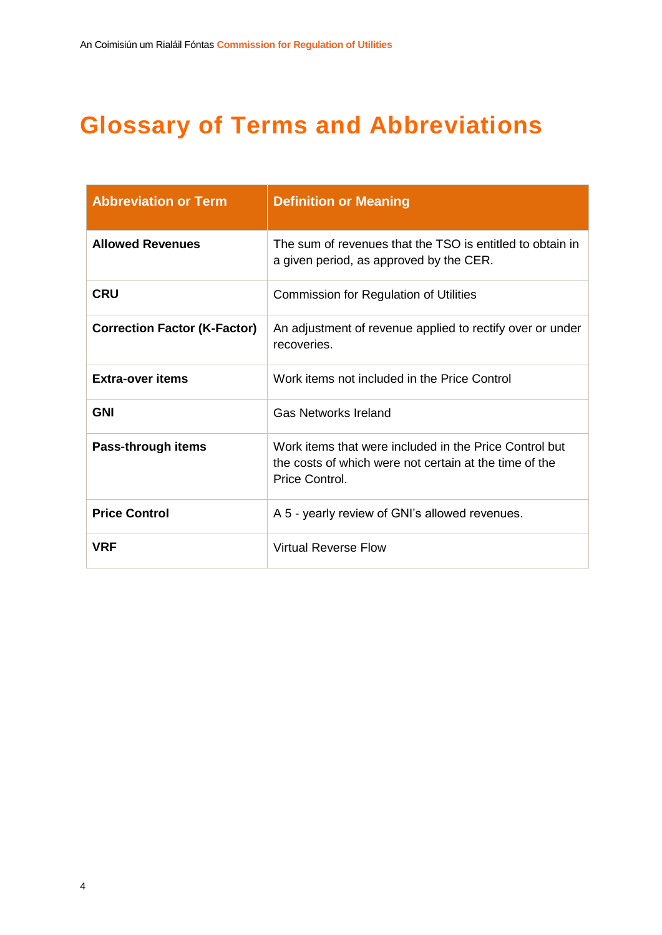# **Glossary of Terms and Abbreviations**

| <b>Abbreviation or Term</b>         | <b>Definition or Meaning</b>                                                                                                       |
|-------------------------------------|------------------------------------------------------------------------------------------------------------------------------------|
| <b>Allowed Revenues</b>             | The sum of revenues that the TSO is entitled to obtain in<br>a given period, as approved by the CER.                               |
| <b>CRU</b>                          | <b>Commission for Regulation of Utilities</b>                                                                                      |
| <b>Correction Factor (K-Factor)</b> | An adjustment of revenue applied to rectify over or under<br>recoveries.                                                           |
| <b>Extra-over items</b>             | Work items not included in the Price Control                                                                                       |
| <b>GNI</b>                          | <b>Gas Networks Ireland</b>                                                                                                        |
| Pass-through items                  | Work items that were included in the Price Control but<br>the costs of which were not certain at the time of the<br>Price Control. |
| <b>Price Control</b>                | A 5 - yearly review of GNI's allowed revenues.                                                                                     |
| <b>VRF</b>                          | Virtual Reverse Flow                                                                                                               |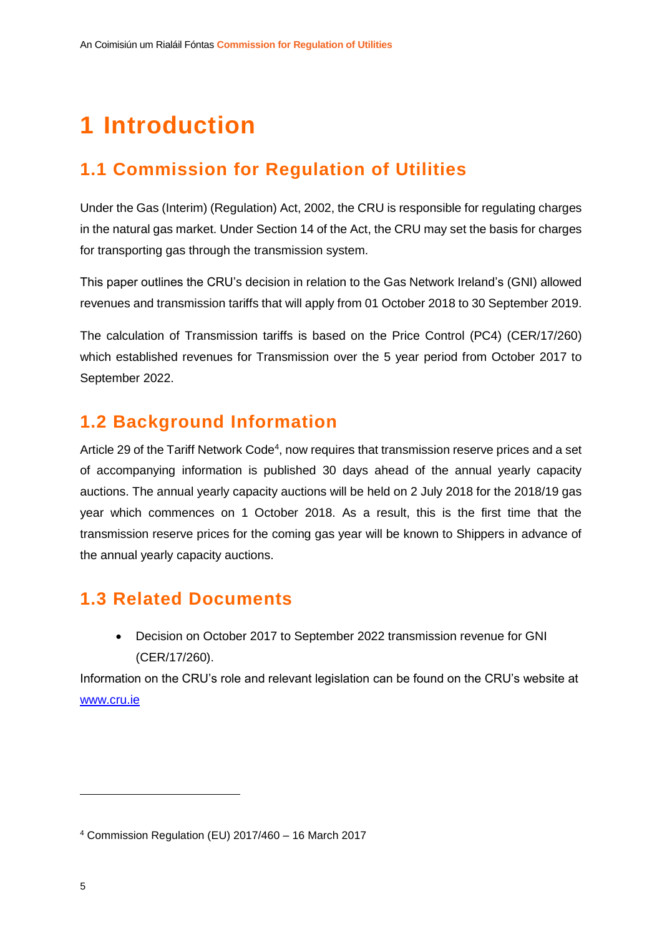# **1 Introduction**

## **1.1 Commission for Regulation of Utilities**

Under the Gas (Interim) (Regulation) Act, 2002, the CRU is responsible for regulating charges in the natural gas market. Under Section 14 of the Act, the CRU may set the basis for charges for transporting gas through the transmission system.

This paper outlines the CRU's decision in relation to the Gas Network Ireland's (GNI) allowed revenues and transmission tariffs that will apply from 01 October 2018 to 30 September 2019.

The calculation of Transmission tariffs is based on the Price Control (PC4) (CER/17/260) which established revenues for Transmission over the 5 year period from October 2017 to September 2022.

### **1.2 Background Information**

Article 29 of the Tariff Network Code<sup>4</sup>, now requires that transmission reserve prices and a set of accompanying information is published 30 days ahead of the annual yearly capacity auctions. The annual yearly capacity auctions will be held on 2 July 2018 for the 2018/19 gas year which commences on 1 October 2018. As a result, this is the first time that the transmission reserve prices for the coming gas year will be known to Shippers in advance of the annual yearly capacity auctions.

### **1.3 Related Documents**

 Decision on October 2017 to September 2022 transmission revenue for GNI (CER/17/260).

Information on the CRU's role and relevant legislation can be found on the CRU's website at [www.cru.ie](http://www.cru.ie/)

1

<sup>4</sup> Commission Regulation (EU) 2017/460 – 16 March 2017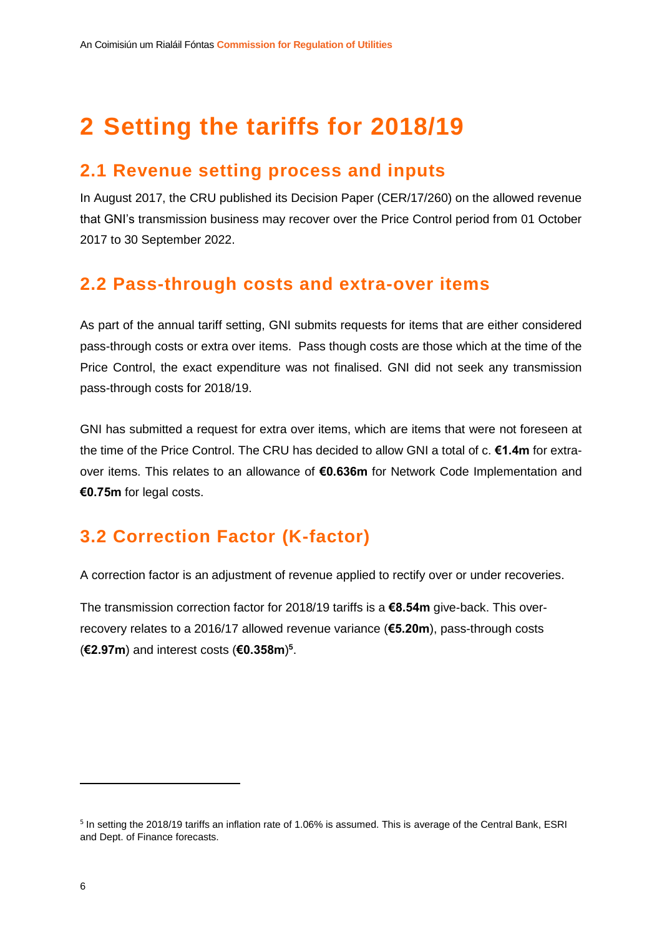# **2 Setting the tariffs for 2018/19**

### **2.1 Revenue setting process and inputs**

In August 2017, the CRU published its Decision Paper (CER/17/260) on the allowed revenue that GNI's transmission business may recover over the Price Control period from 01 October 2017 to 30 September 2022.

### **2.2 Pass-through costs and extra-over items**

As part of the annual tariff setting, GNI submits requests for items that are either considered pass-through costs or extra over items. Pass though costs are those which at the time of the Price Control, the exact expenditure was not finalised. GNI did not seek any transmission pass-through costs for 2018/19.

GNI has submitted a request for extra over items, which are items that were not foreseen at the time of the Price Control. The CRU has decided to allow GNI a total of c. **€1.4m** for extraover items. This relates to an allowance of **€0.636m** for Network Code Implementation and **€0.75m** for legal costs.

# **3.2 Correction Factor (K-factor)**

A correction factor is an adjustment of revenue applied to rectify over or under recoveries.

The transmission correction factor for 2018/19 tariffs is a **€8.54m** give-back. This overrecovery relates to a 2016/17 allowed revenue variance (**€5.20m**), pass-through costs (**€2.97m**) and interest costs (**€0.358m**) **5** .

<sup>&</sup>lt;sup>5</sup> In setting the 2018/19 tariffs an inflation rate of 1.06% is assumed. This is average of the Central Bank, ESRI and Dept. of Finance forecasts.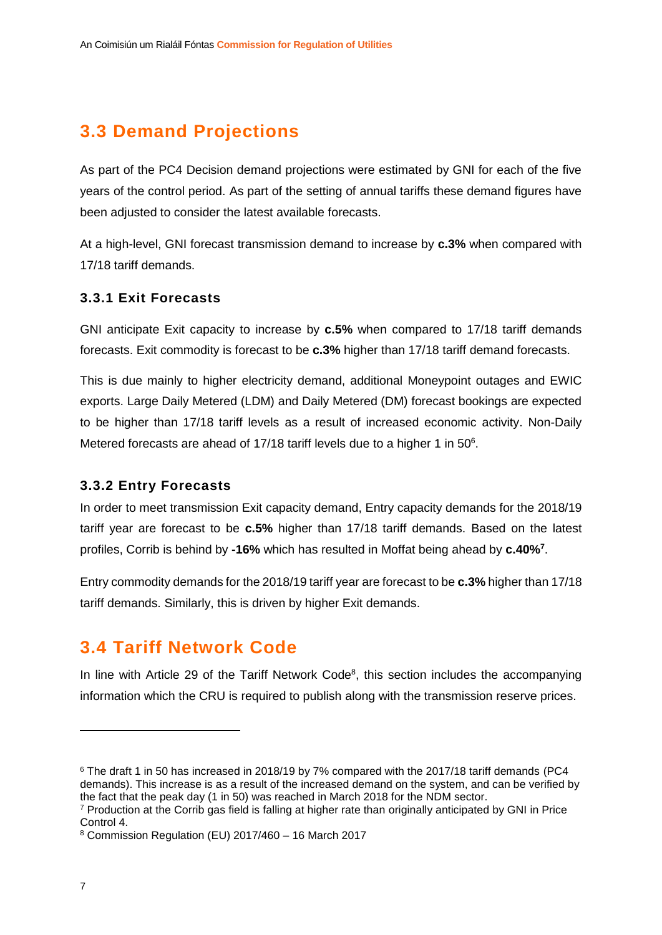# **3.3 Demand Projections**

As part of the PC4 Decision demand projections were estimated by GNI for each of the five years of the control period. As part of the setting of annual tariffs these demand figures have been adjusted to consider the latest available forecasts.

At a high-level, GNI forecast transmission demand to increase by **c.3%** when compared with 17/18 tariff demands.

#### **3.3.1 Exit Forecasts**

GNI anticipate Exit capacity to increase by **c.5%** when compared to 17/18 tariff demands forecasts. Exit commodity is forecast to be **c.3%** higher than 17/18 tariff demand forecasts.

This is due mainly to higher electricity demand, additional Moneypoint outages and EWIC exports. Large Daily Metered (LDM) and Daily Metered (DM) forecast bookings are expected to be higher than 17/18 tariff levels as a result of increased economic activity. Non-Daily Metered forecasts are ahead of 17/18 tariff levels due to a higher 1 in  $50^6$ .

#### **3.3.2 Entry Forecasts**

In order to meet transmission Exit capacity demand, Entry capacity demands for the 2018/19 tariff year are forecast to be **c.5%** higher than 17/18 tariff demands. Based on the latest profiles, Corrib is behind by **-16%** which has resulted in Moffat being ahead by **c.40%<sup>7</sup>** .

Entry commodity demands for the 2018/19 tariff year are forecast to be **c.3%** higher than 17/18 tariff demands. Similarly, this is driven by higher Exit demands.

### **3.4 Tariff Network Code**

In line with Article 29 of the Tariff Network Code $8$ , this section includes the accompanying information which the CRU is required to publish along with the transmission reserve prices.

<sup>&</sup>lt;sup>6</sup> The draft 1 in 50 has increased in 2018/19 by 7% compared with the 2017/18 tariff demands (PC4 demands). This increase is as a result of the increased demand on the system, and can be verified by the fact that the peak day (1 in 50) was reached in March 2018 for the NDM sector.

<sup>7</sup> Production at the Corrib gas field is falling at higher rate than originally anticipated by GNI in Price Control 4.

<sup>8</sup> Commission Regulation (EU) 2017/460 – 16 March 2017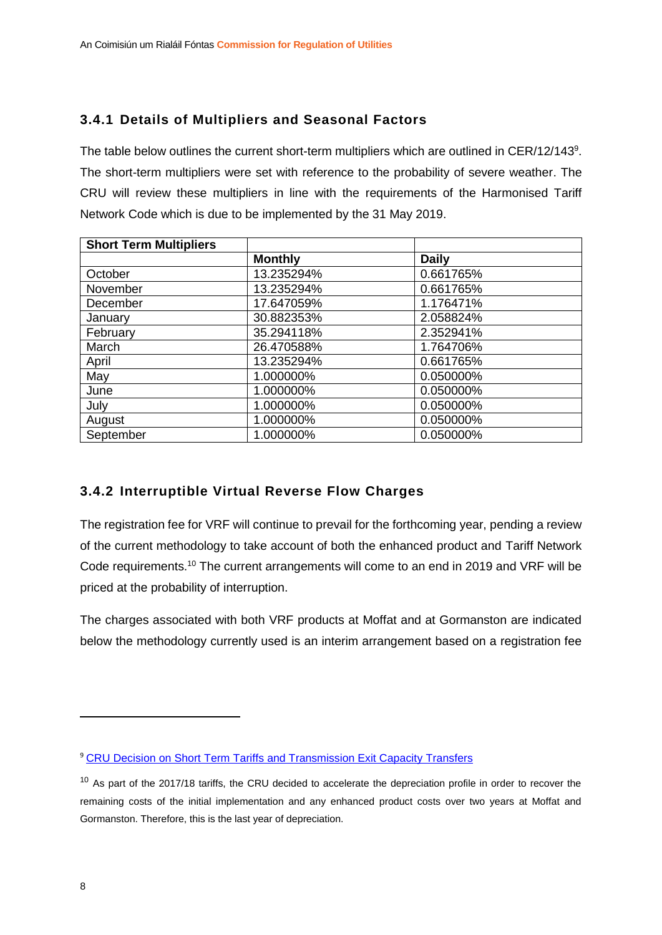#### **3.4.1 Details of Multipliers and Seasonal Factors**

The table below outlines the current short-term multipliers which are outlined in CER/12/143<sup>9</sup>. The short-term multipliers were set with reference to the probability of severe weather. The CRU will review these multipliers in line with the requirements of the Harmonised Tariff Network Code which is due to be implemented by the 31 May 2019.

| <b>Short Term Multipliers</b> |                |              |
|-------------------------------|----------------|--------------|
|                               | <b>Monthly</b> | <b>Daily</b> |
| October                       | 13.235294%     | 0.661765%    |
| November                      | 13.235294%     | 0.661765%    |
| December                      | 17.647059%     | 1.176471%    |
| January                       | 30.882353%     | 2.058824%    |
| February                      | 35.294118%     | 2.352941%    |
| March                         | 26.470588%     | 1.764706%    |
| April                         | 13.235294%     | 0.661765%    |
| May                           | 1.000000%      | 0.050000%    |
| June                          | 1.000000%      | 0.050000%    |
| July                          | 1.000000%      | 0.050000%    |
| August                        | 1.000000%      | 0.050000%    |
| September                     | 1.000000%      | 0.050000%    |

#### **3.4.2 Interruptible Virtual Reverse Flow Charges**

The registration fee for VRF will continue to prevail for the forthcoming year, pending a review of the current methodology to take account of both the enhanced product and Tariff Network Code requirements.<sup>10</sup> The current arrangements will come to an end in 2019 and VRF will be priced at the probability of interruption.

The charges associated with both VRF products at Moffat and at Gormanston are indicated below the methodology currently used is an interim arrangement based on a registration fee

<sup>9</sup> [CRU Decision on Short Term Tariffs and Transmission Exit Capacity Transfers](https://www.cru.ie/wp-content/uploads/2012/07/cer12143.pdf)

<sup>&</sup>lt;sup>10</sup> As part of the 2017/18 tariffs, the CRU decided to accelerate the depreciation profile in order to recover the remaining costs of the initial implementation and any enhanced product costs over two years at Moffat and Gormanston. Therefore, this is the last year of depreciation.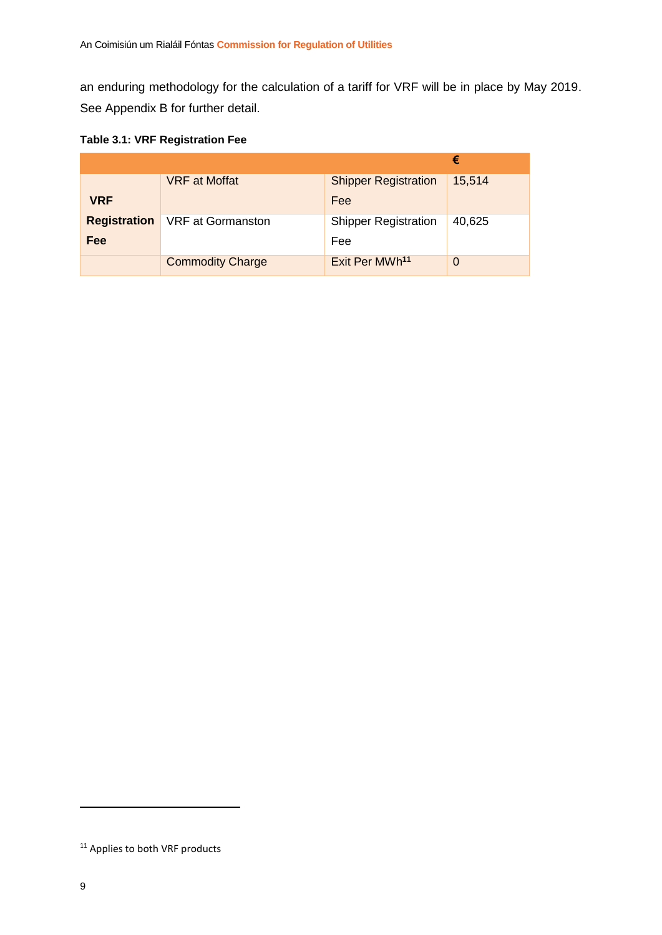an enduring methodology for the calculation of a tariff for VRF will be in place by May 2019. See Appendix B for further detail.

|  | <b>Table 3.1: VRF Registration Fee</b> |  |
|--|----------------------------------------|--|
|  |                                        |  |

|                     |                          |                             | €              |
|---------------------|--------------------------|-----------------------------|----------------|
|                     | <b>VRF</b> at Moffat     | <b>Shipper Registration</b> | 15,514         |
| <b>VRF</b>          |                          | Fee                         |                |
| <b>Registration</b> | <b>VRF</b> at Gormanston | <b>Shipper Registration</b> | 40,625         |
| Fee                 |                          | Fee                         |                |
|                     | <b>Commodity Charge</b>  | Exit Per MWh <sup>11</sup>  | $\overline{0}$ |

<sup>&</sup>lt;sup>11</sup> Applies to both VRF products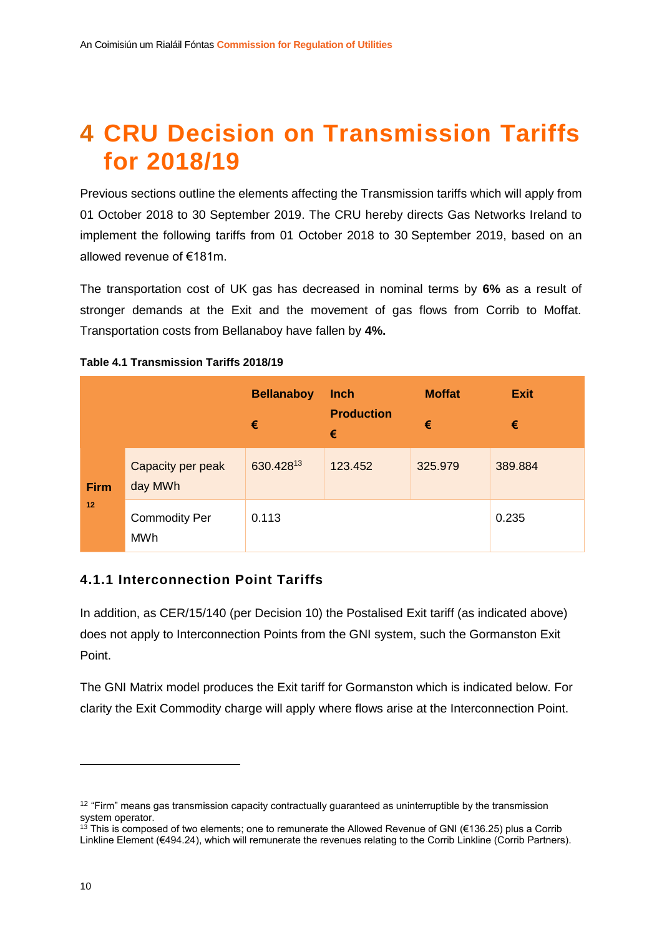# **4 CRU Decision on Transmission Tariffs for 2018/19**

Previous sections outline the elements affecting the Transmission tariffs which will apply from 01 October 2018 to 30 September 2019. The CRU hereby directs Gas Networks Ireland to implement the following tariffs from 01 October 2018 to 30 September 2019, based on an allowed revenue of €181m.

The transportation cost of UK gas has decreased in nominal terms by **6%** as a result of stronger demands at the Exit and the movement of gas flows from Corrib to Moffat. Transportation costs from Bellanaboy have fallen by **4%.**

|             |                                    | <b>Bellanaboy</b><br>€ | <b>Inch</b><br><b>Production</b><br>€ | <b>Moffat</b><br>€ | <b>Exit</b><br>€ |
|-------------|------------------------------------|------------------------|---------------------------------------|--------------------|------------------|
| <b>Firm</b> | Capacity per peak<br>day MWh       | 630.42813              | 123.452                               | 325.979            | 389.884          |
| 12          | <b>Commodity Per</b><br><b>MWh</b> | 0.113                  | 0.235                                 |                    |                  |

#### **Table 4.1 Transmission Tariffs 2018/19**

#### **4.1.1 Interconnection Point Tariffs**

In addition, as CER/15/140 (per Decision 10) the Postalised Exit tariff (as indicated above) does not apply to Interconnection Points from the GNI system, such the Gormanston Exit Point.

The GNI Matrix model produces the Exit tariff for Gormanston which is indicated below. For clarity the Exit Commodity charge will apply where flows arise at the Interconnection Point.

 $12$  "Firm" means gas transmission capacity contractually guaranteed as uninterruptible by the transmission system operator.

<sup>&</sup>lt;sup>13</sup> This is composed of two elements; one to remunerate the Allowed Revenue of GNI (€136.25) plus a Corrib Linkline Element (€494.24), which will remunerate the revenues relating to the Corrib Linkline (Corrib Partners).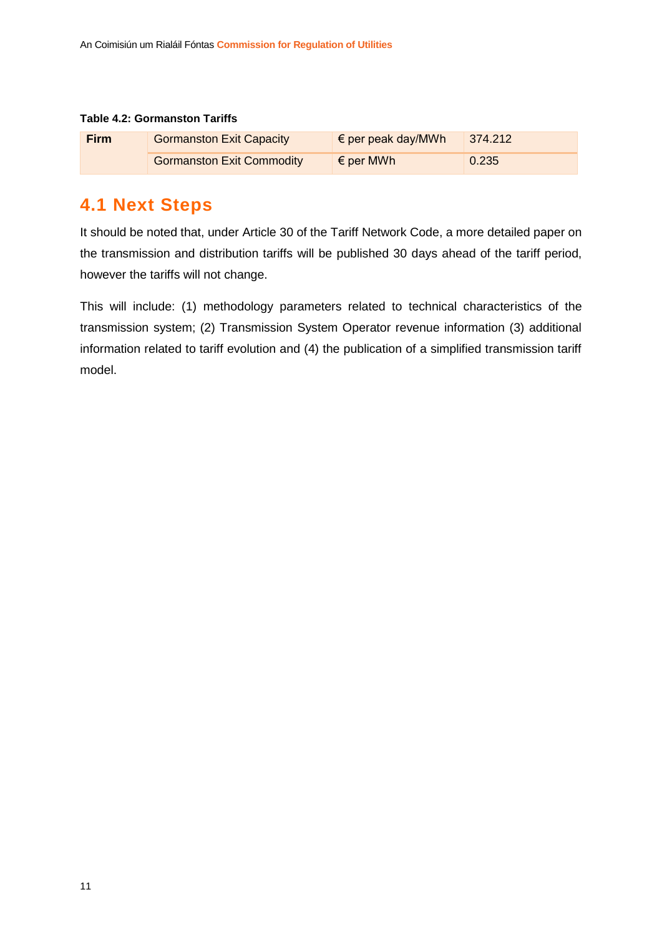#### **Table 4.2: Gormanston Tariffs**

| <b>Firm</b> | <b>Gormanston Exit Capacity</b>  | $\epsilon$ per peak day/MWh | $ 374.212\rangle$ |
|-------------|----------------------------------|-----------------------------|-------------------|
|             | <b>Gormanston Exit Commodity</b> | $\epsilon$ per MWh          | 0.235             |

### **4.1 Next Steps**

It should be noted that, under Article 30 of the Tariff Network Code, a more detailed paper on the transmission and distribution tariffs will be published 30 days ahead of the tariff period, however the tariffs will not change.

This will include: (1) methodology parameters related to technical characteristics of the transmission system; (2) Transmission System Operator revenue information (3) additional information related to tariff evolution and (4) the publication of a simplified transmission tariff model.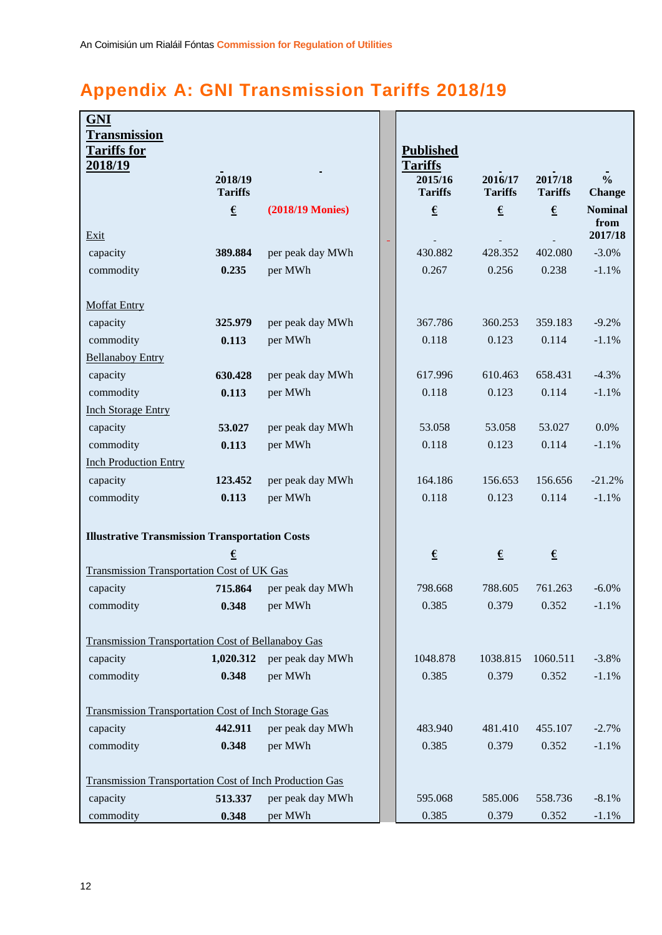# **Appendix A: GNI Transmission Tariffs 2018/19**

| <b>GNI</b>                                                     |                  |                  |                                    |                  |                        |                        |
|----------------------------------------------------------------|------------------|------------------|------------------------------------|------------------|------------------------|------------------------|
| <b>Transmission</b>                                            |                  |                  |                                    |                  |                        |                        |
| <b>Tariffs for</b><br><u>2018/19</u>                           |                  |                  | <b>Published</b><br><b>Tariffs</b> |                  |                        |                        |
|                                                                | 2018/19          |                  | 2015/16                            | 2016/17          | 2017/18                | $\frac{0}{0}$          |
|                                                                | <b>Tariffs</b>   |                  | <b>Tariffs</b>                     | <b>Tariffs</b>   | <b>Tariffs</b>         | <b>Change</b>          |
|                                                                | $\pmb{\epsilon}$ | (2018/19 Monies) | $\pmb{\epsilon}$                   | $\pmb{\epsilon}$ | $\pmb{\epsilon}$       | <b>Nominal</b><br>from |
| Exit                                                           |                  |                  |                                    |                  |                        | 2017/18                |
| capacity                                                       | 389.884          | per peak day MWh | 430.882                            | 428.352          | 402.080                | $-3.0%$                |
| commodity                                                      | 0.235            | per MWh          | 0.267                              | 0.256            | 0.238                  | $-1.1%$                |
|                                                                |                  |                  |                                    |                  |                        |                        |
| <b>Moffat Entry</b>                                            |                  |                  |                                    |                  |                        |                        |
| capacity                                                       | 325.979          | per peak day MWh | 367.786                            | 360.253          | 359.183                | $-9.2%$                |
| commodity                                                      | 0.113            | per MWh          | 0.118                              | 0.123            | 0.114                  | $-1.1%$                |
| <b>Bellanaboy Entry</b>                                        |                  |                  |                                    |                  |                        |                        |
| capacity                                                       | 630.428          | per peak day MWh | 617.996                            | 610.463          | 658.431                | $-4.3%$                |
| commodity                                                      | 0.113            | per MWh          | 0.118                              | 0.123            | 0.114                  | $-1.1%$                |
| <b>Inch Storage Entry</b>                                      |                  |                  |                                    |                  |                        |                        |
| capacity                                                       | 53.027           | per peak day MWh | 53.058                             | 53.058           | 53.027                 | 0.0%                   |
| commodity                                                      | 0.113            | per MWh          | 0.118                              | 0.123            | 0.114                  | $-1.1%$                |
| <b>Inch Production Entry</b>                                   |                  |                  |                                    |                  |                        |                        |
| capacity                                                       | 123.452          | per peak day MWh | 164.186                            | 156.653          | 156.656                | $-21.2%$               |
| commodity                                                      | 0.113            | per MWh          | 0.118                              | 0.123            | 0.114                  | $-1.1%$                |
|                                                                |                  |                  |                                    |                  |                        |                        |
| <b>Illustrative Transmission Transportation Costs</b>          |                  |                  |                                    |                  |                        |                        |
|                                                                | €                |                  | $\pmb{\epsilon}$                   | $\epsilon$       | $\underline{\epsilon}$ |                        |
| Transmission Transportation Cost of UK Gas                     |                  |                  |                                    |                  |                        |                        |
| capacity                                                       | 715.864          | per peak day MWh | 798.668                            | 788.605          | 761.263                | $-6.0\%$               |
| commodity                                                      | 0.348            | per MWh          | 0.385                              | 0.379            | 0.352                  | $-1.1\%$               |
|                                                                |                  |                  |                                    |                  |                        |                        |
| <b>Transmission Transportation Cost of Bellanaboy Gas</b>      |                  |                  |                                    |                  |                        |                        |
| capacity                                                       | 1,020.312        | per peak day MWh | 1048.878                           | 1038.815         | 1060.511               | $-3.8%$                |
| commodity                                                      | 0.348            | per MWh          | 0.385                              | 0.379            | 0.352                  | $-1.1%$                |
|                                                                |                  |                  |                                    |                  |                        |                        |
| <b>Transmission Transportation Cost of Inch Storage Gas</b>    |                  |                  |                                    |                  |                        |                        |
| capacity                                                       | 442.911          | per peak day MWh | 483.940                            | 481.410          | 455.107                | $-2.7%$                |
| commodity                                                      | 0.348            | per MWh          | 0.385                              | 0.379            | 0.352                  | $-1.1%$                |
|                                                                |                  |                  |                                    |                  |                        |                        |
| <b>Transmission Transportation Cost of Inch Production Gas</b> |                  |                  |                                    |                  |                        |                        |
| capacity                                                       | 513.337          | per peak day MWh | 595.068                            | 585.006          | 558.736                | $-8.1%$                |
| commodity                                                      | 0.348            | per MWh          | 0.385                              | 0.379            | 0.352                  | $-1.1%$                |